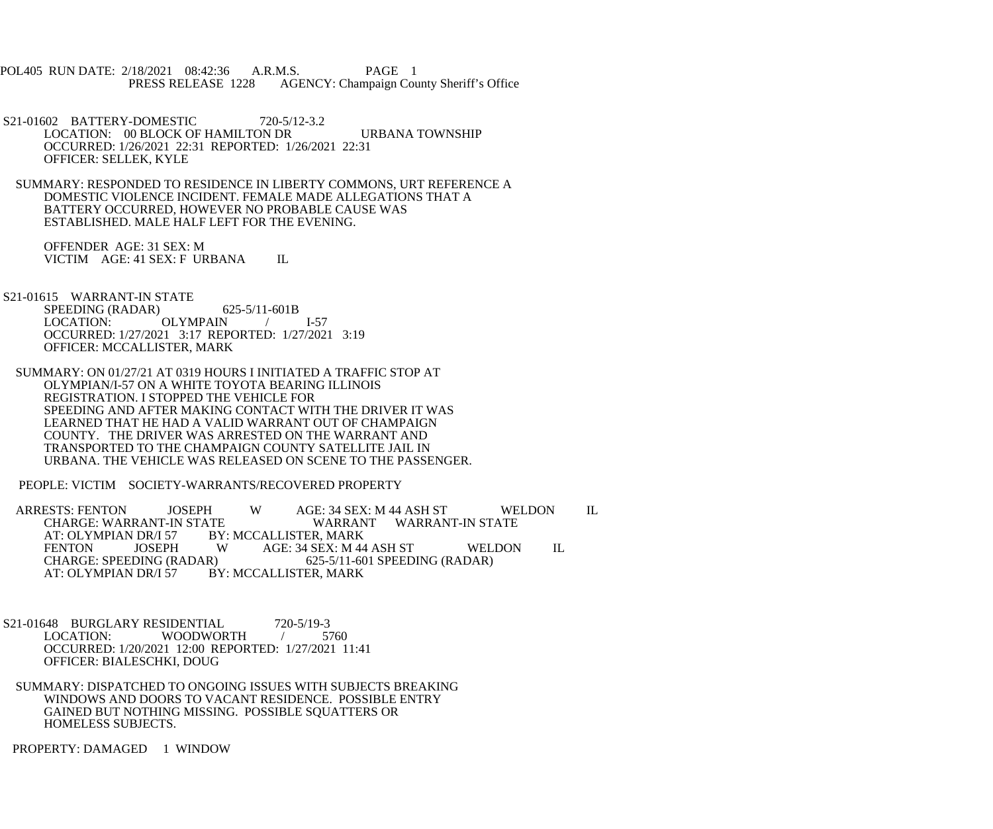POL405 RUN DATE: 2/18/2021 08:42:36 A.R.M.S. PAGE 1<br>PRESS RELEASE 1228 AGENCY: Champaign Cou AGENCY: Champaign County Sheriff's Office

 S21-01602 BATTERY-DOMESTIC 720-5/12-3.2 LOCATION: 00 BLOCK OF HAMILTON DR URBANA TOWNSHIP OCCURRED: 1/26/2021 22:31 REPORTED: 1/26/2021 22:31 OFFICER: SELLEK, KYLE

 SUMMARY: RESPONDED TO RESIDENCE IN LIBERTY COMMONS, URT REFERENCE A DOMESTIC VIOLENCE INCIDENT. FEMALE MADE ALLEGATIONS THAT A BATTERY OCCURRED, HOWEVER NO PROBABLE CAUSE WAS ESTABLISHED. MALE HALF LEFT FOR THE EVENING.

 OFFENDER AGE: 31 SEX: M VICTIM AGE: 41 SEX: F URBANA IL

 S21-01615 WARRANT-IN STATE SPEEDING (RADAR) 625-5/11-601B LOCATION: OLYMPAIN / I-57 OCCURRED: 1/27/2021 3:17 REPORTED: 1/27/2021 3:19 OFFICER: MCCALLISTER, MARK

 SUMMARY: ON 01/27/21 AT 0319 HOURS I INITIATED A TRAFFIC STOP AT OLYMPIAN/I-57 ON A WHITE TOYOTA BEARING ILLINOIS REGISTRATION. I STOPPED THE VEHICLE FOR SPEEDING AND AFTER MAKING CONTACT WITH THE DRIVER IT WAS LEARNED THAT HE HAD A VALID WARRANT OUT OF CHAMPAIGN COUNTY. THE DRIVER WAS ARRESTED ON THE WARRANT AND TRANSPORTED TO THE CHAMPAIGN COUNTY SATELLITE JAIL IN URBANA. THE VEHICLE WAS RELEASED ON SCENE TO THE PASSENGER.

PEOPLE: VICTIM SOCIETY-WARRANTS/RECOVERED PROPERTY

ARRESTS: FENTON JOSEPH W AGE: 34 SEX: M 44 ASH ST WELDON IL<br>CHARGE: WARRANT-IN STATE WARRANT WARRANT-IN STATE CHARGE: WARRANT-IN STATE WARRANT WARRANT-IN STATE<br>AT: OLYMPIAN DR/I 57 BY: MCCALLISTER, MARK AT: OLYMPIAN DR/I 57 BY: MCCALLISTER, MARK<br>FENTON JOSEPH WAGE: 34 SEX: M 44 FENTON JOSEPH W AGE: 34 SEX: M 44 ASH ST WELDON IL<br>CHARGE: SPEEDING (RADAR) 625-5/11-601 SPEEDING (RADAR) CHARGE: SPEEDING (RADAR) 625-5/11-601 SPEEDING (RADAR)<br>AT: OLYMPIAN DR/I 57 BY: MCCALLISTER, MARK BY: MCCALLISTER, MARK

S21-01648 BURGLARY RESIDENTIAL 720-5/19-3<br>LOCATION: WOODWORTH / 57 WOODWORTH / 5760 OCCURRED: 1/20/2021 12:00 REPORTED: 1/27/2021 11:41 OFFICER: BIALESCHKI, DOUG

 SUMMARY: DISPATCHED TO ONGOING ISSUES WITH SUBJECTS BREAKING WINDOWS AND DOORS TO VACANT RESIDENCE. POSSIBLE ENTRY GAINED BUT NOTHING MISSING. POSSIBLE SQUATTERS OR HOMELESS SUBJECTS.

PROPERTY: DAMAGED 1 WINDOW